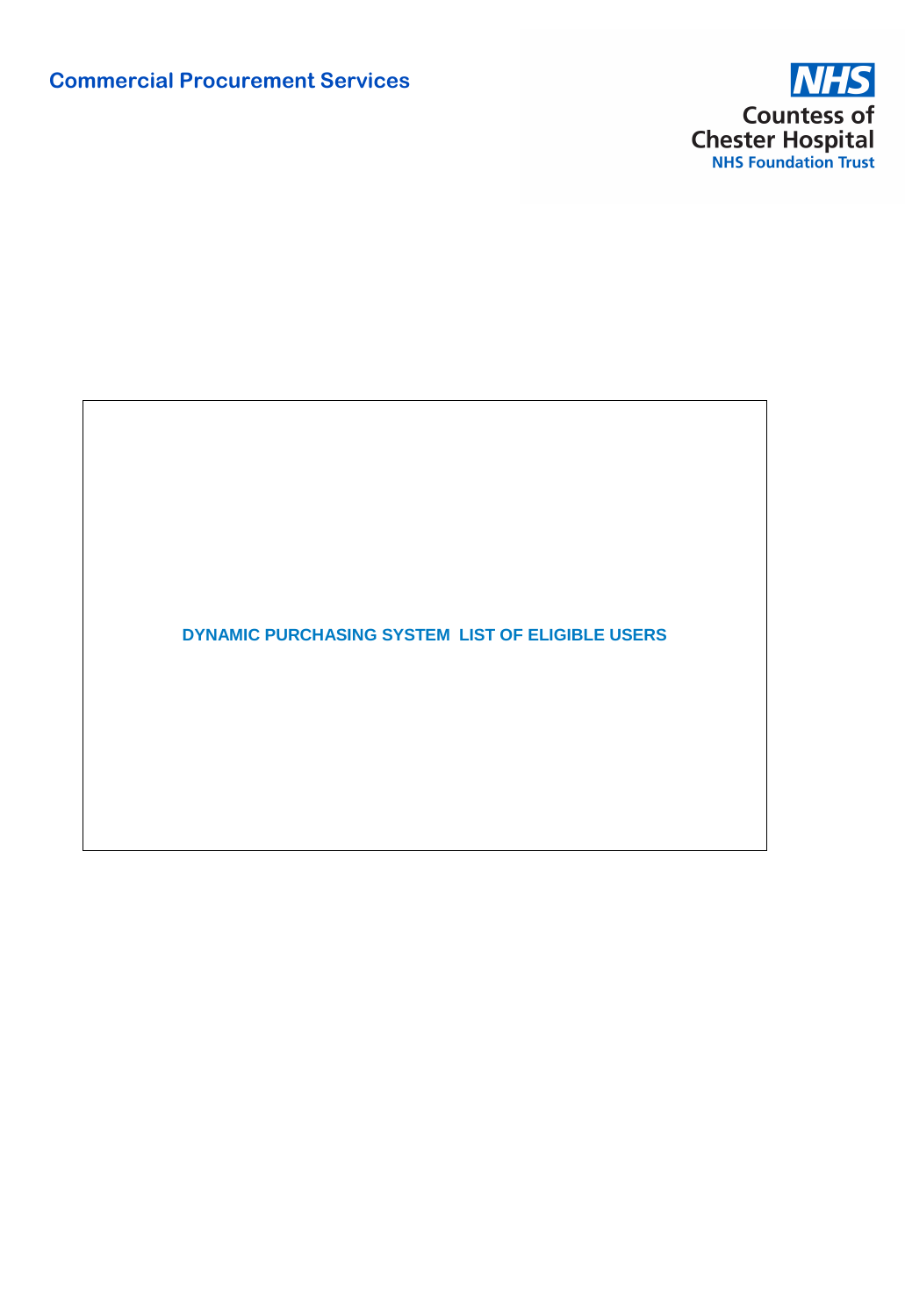## **Commercial Procurement Services**



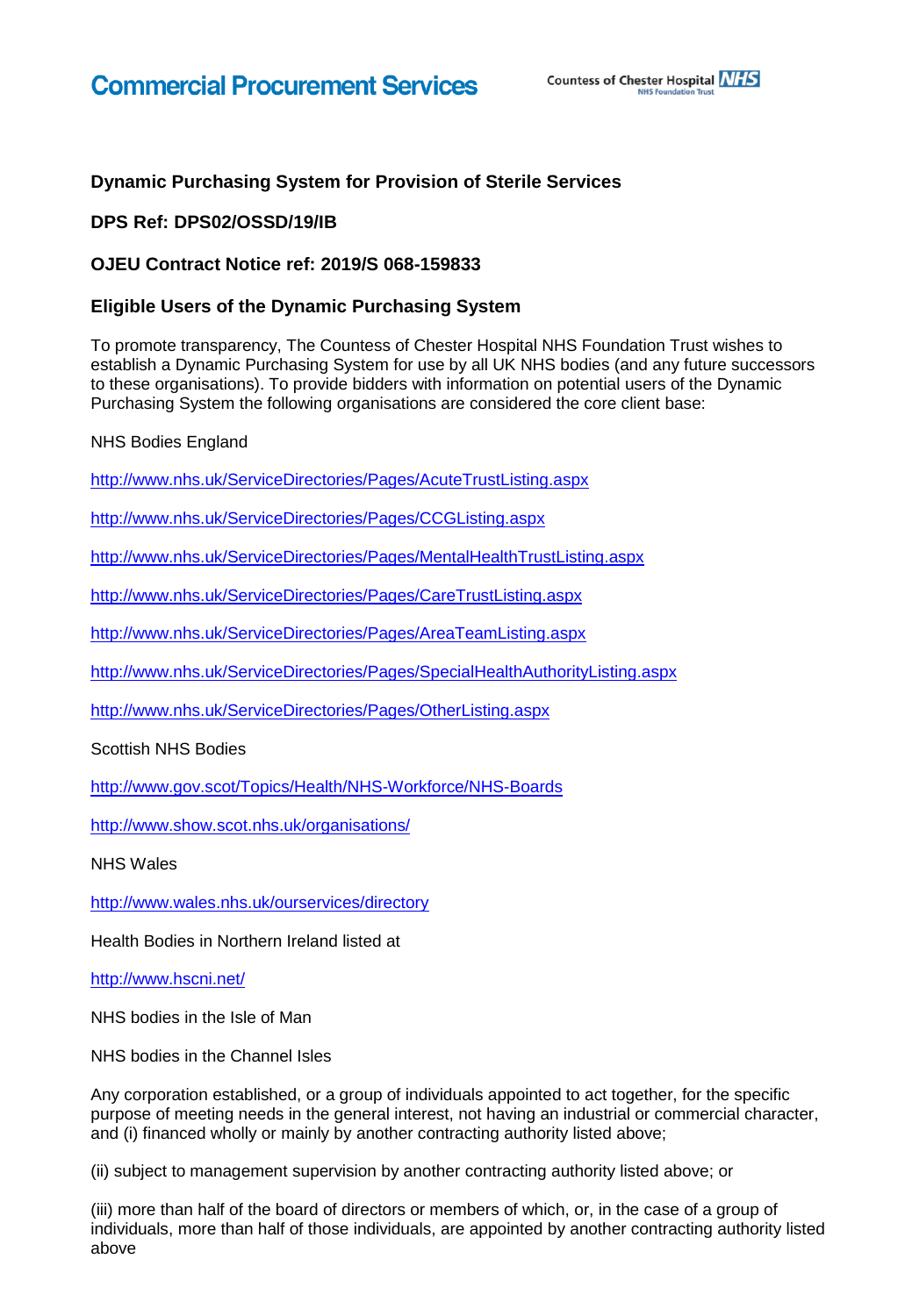## **Commercial Procurement Services**

### **Dynamic Purchasing System for Provision of Sterile Services**

#### **DPS Ref: DPS02/OSSD/19/IB**

#### **OJEU Contract Notice ref: 2019/S 068-159833**

#### **Eligible Users of the Dynamic Purchasing System**

To promote transparency, The Countess of Chester Hospital NHS Foundation Trust wishes to establish a Dynamic Purchasing System for use by all UK NHS bodies (and any future successors to these organisations). To provide bidders with information on potential users of the Dynamic Purchasing System the following organisations are considered the core client base:

#### NHS Bodies England

<http://www.nhs.uk/ServiceDirectories/Pages/AcuteTrustListing.aspx>

<http://www.nhs.uk/ServiceDirectories/Pages/CCGListing.aspx>

<http://www.nhs.uk/ServiceDirectories/Pages/MentalHealthTrustListing.aspx>

<http://www.nhs.uk/ServiceDirectories/Pages/CareTrustListing.aspx>

<http://www.nhs.uk/ServiceDirectories/Pages/AreaTeamListing.aspx>

<http://www.nhs.uk/ServiceDirectories/Pages/SpecialHealthAuthorityListing.aspx>

<http://www.nhs.uk/ServiceDirectories/Pages/OtherListing.aspx>

Scottish NHS Bodies

<http://www.gov.scot/Topics/Health/NHS-Workforce/NHS-Boards>

<http://www.show.scot.nhs.uk/organisations/>

NHS Wales

<http://www.wales.nhs.uk/ourservices/directory>

Health Bodies in Northern Ireland listed at

<http://www.hscni.net/>

NHS bodies in the Isle of Man

NHS bodies in the Channel Isles

Any corporation established, or a group of individuals appointed to act together, for the specific purpose of meeting needs in the general interest, not having an industrial or commercial character, and (i) financed wholly or mainly by another contracting authority listed above;

(ii) subject to management supervision by another contracting authority listed above; or

(iii) more than half of the board of directors or members of which, or, in the case of a group of individuals, more than half of those individuals, are appointed by another contracting authority listed above